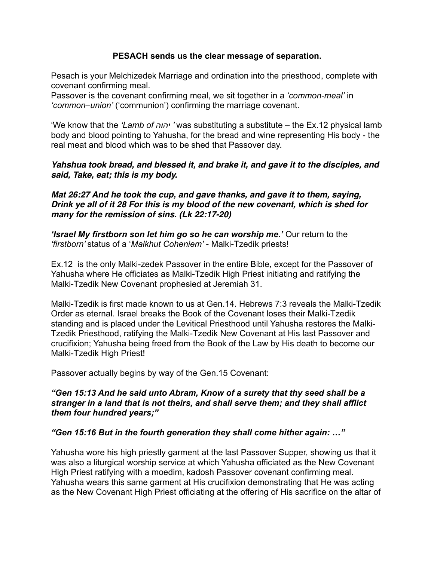# **PESACH sends us the clear message of separation.**

Pesach is your Melchizedek Marriage and ordination into the priesthood, complete with covenant confirming meal.

Passover is the covenant confirming meal, we sit together in a *'common-meal'* in *'common–union'* ('communion') confirming the marriage covenant.

'We know that the *'Lamb of יהוה '* was substituting a substitute – the Ex.12 physical lamb body and blood pointing to Yahusha, for the bread and wine representing His body - the real meat and blood which was to be shed that Passover day.

# *Yahshua took bread, and blessed it, and brake it, and gave it to the disciples, and said, Take, eat; this is my body.*

*Mat 26:27 And he took the cup, and gave thanks, and gave it to them, saying, Drink ye all of it 28 For this is my blood of the new covenant, which is shed for many for the remission of sins. (Lk 22:17-20)*

*'Israel My firstborn son let him go so he can worship me.'* Our return to the *'firstborn'* status of a '*Malkhut Coheniem'* - Malki-Tzedik priests!

Ex.12 is the only Malki-zedek Passover in the entire Bible, except for the Passover of Yahusha where He officiates as Malki-Tzedik High Priest initiating and ratifying the Malki-Tzedik New Covenant prophesied at Jeremiah 31.

Malki-Tzedik is first made known to us at Gen.14. Hebrews 7:3 reveals the Malki-Tzedik Order as eternal. Israel breaks the Book of the Covenant loses their Malki-Tzedik standing and is placed under the Levitical Priesthood until Yahusha restores the Malki-Tzedik Priesthood, ratifying the Malki-Tzedik New Covenant at His last Passover and crucifixion; Yahusha being freed from the Book of the Law by His death to become our Malki-Tzedik High Priest!

Passover actually begins by way of the Gen.15 Covenant:

# *"Gen 15:13 And he said unto Abram, Know of a surety that thy seed shall be a stranger in a land that is not theirs, and shall serve them; and they shall afflict them four hundred years;"*

# *"Gen 15:16 But in the fourth generation they shall come hither again: …"*

Yahusha wore his high priestly garment at the last Passover Supper, showing us that it was also a liturgical worship service at which Yahusha officiated as the New Covenant High Priest ratifying with a moedim, kadosh Passover covenant confirming meal. Yahusha wears this same garment at His crucifixion demonstrating that He was acting as the New Covenant High Priest officiating at the offering of His sacrifice on the altar of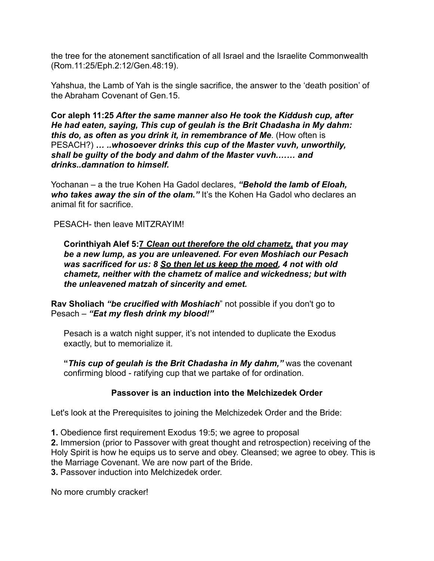the tree for the atonement sanctification of all Israel and the Israelite Commonwealth (Rom.11:25/Eph.2:12/Gen.48:19).

Yahshua, the Lamb of Yah is the single sacrifice, the answer to the 'death position' of the Abraham Covenant of Gen.15.

**Cor aleph 11:25** *After the same manner also He took the Kiddush cup, after He had eaten, saying, This cup of geulah is the Brit Chadasha in My dahm: this do, as often as you drink it, in remembrance of Me*. (How often is PESACH?) *… ..whosoever drinks this cup of the Master vuvh, unworthily, shall be guilty of the body and dahm of the Master vuvh.…… and drinks..damnation to himself.* 

Yochanan – a the true Kohen Ha Gadol declares, *"Behold the lamb of Eloah,*  who takes away the sin of the olam." It's the Kohen Ha Gadol who declares an animal fit for sacrifice.

PESACH- then leave MITZRAYIM!

**Corinthiyah Alef 5:7** *Clean out therefore the old chametz, that you may be a new lump, as you are unleavened. For even Moshiach our Pesach was sacrificed for us: 8 So then let us keep the moed, 4 not with old chametz, neither with the chametz of malice and wickedness; but with the unleavened matzah of sincerity and emet.* 

**Rav Sholiach** *"be crucified with Moshiach*" not possible if you don't go to Pesach – *"Eat my flesh drink my blood!"* 

Pesach is a watch night supper, it's not intended to duplicate the Exodus exactly, but to memorialize it.

**"***This cup of geulah is the Brit Chadasha in My dahm,"* was the covenant confirming blood - ratifying cup that we partake of for ordination.

# **Passover is an induction into the Melchizedek Order**

Let's look at the Prerequisites to joining the Melchizedek Order and the Bride:

**1.** Obedience first requirement Exodus 19:5; we agree to proposal

**2.** Immersion (prior to Passover with great thought and retrospection) receiving of the Holy Spirit is how he equips us to serve and obey. Cleansed; we agree to obey. This is the Marriage Covenant. We are now part of the Bride.

**3.** Passover induction into Melchizedek order.

No more crumbly cracker!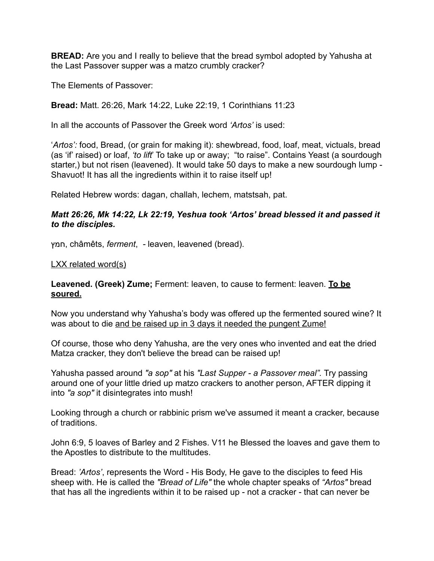**BREAD:** Are you and I really to believe that the bread symbol adopted by Yahusha at the Last Passover supper was a matzo crumbly cracker?

The Elements of Passover:

**Bread:** Matt. 26:26, Mark 14:22, Luke 22:19, 1 Corinthians 11:23

In all the accounts of Passover the Greek word *'Artos'* is used:

'*Artos':* food, Bread, (or grain for making it): shewbread, food, loaf, meat, victuals, bread (as 'if' raised) or loaf, *'to lift*' To take up or away; "to raise". Contains Yeast (a sourdough starter,) but not risen (leavened). It would take 50 days to make a new sourdough lump - Shavuot! It has all the ingredients within it to raise itself up!

Related Hebrew words: dagan, challah, lechem, matstsah, pat.

# *Matt 26:26, Mk 14:22, Lk 22:19, Yeshua took 'Artos' bread blessed it and passed it to the disciples.*

חמץ, châmêts, *ferment*, *-* leaven, leavened (bread).

#### LXX related word(s)

**Leavened. (Greek) Zume;** Ferment: leaven, to cause to ferment: leaven. **To be soured.**

Now you understand why Yahusha's body was offered up the fermented soured wine? It was about to die and be raised up in 3 days it needed the pungent Zume!

Of course, those who deny Yahusha, are the very ones who invented and eat the dried Matza cracker, they don't believe the bread can be raised up!

Yahusha passed around *"a sop"* at his *"Last Supper - a Passover meal".* Try passing around one of your little dried up matzo crackers to another person, AFTER dipping it into *"a sop"* it disintegrates into mush!

Looking through a church or rabbinic prism we've assumed it meant a cracker, because of traditions.

John 6:9, 5 loaves of Barley and 2 Fishes. V11 he Blessed the loaves and gave them to the Apostles to distribute to the multitudes.

Bread: *'Artos'*, represents the Word - His Body, He gave to the disciples to feed His sheep with. He is called the *"Bread of Life"* the whole chapter speaks of *"Artos"* bread that has all the ingredients within it to be raised up - not a cracker - that can never be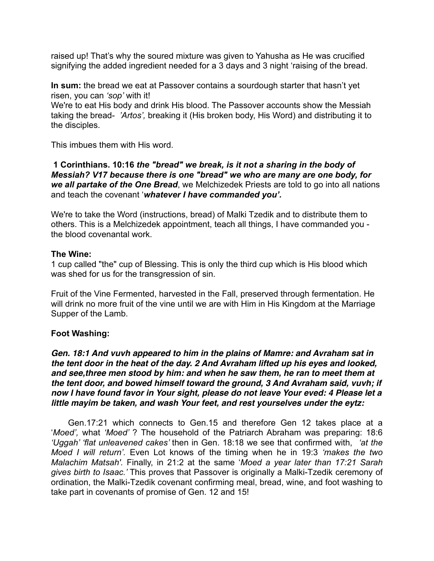raised up! That's why the soured mixture was given to Yahusha as He was crucified signifying the added ingredient needed for a 3 days and 3 night 'raising of the bread.

**In sum:** the bread we eat at Passover contains a sourdough starter that hasn't yet risen, you can *'sop'* with it!

We're to eat His body and drink His blood. The Passover accounts show the Messiah taking the bread- *'Artos',* breaking it (His broken body, His Word) and distributing it to the disciples.

This imbues them with His word.

**1 Corinthians. 10:16** *the "bread" we break, is it not a sharing in the body of Messiah? V17 because there is one "bread" we who are many are one body, for we all partake of the One Bread*, we Melchizedek Priests are told to go into all nations and teach the covenant '*whatever I have commanded you'.* 

We're to take the Word (instructions, bread) of Malki Tzedik and to distribute them to others. This is a Melchizedek appointment, teach all things, I have commanded you the blood covenantal work.

# **The Wine:**

1 cup called "the" cup of Blessing. This is only the third cup which is His blood which was shed for us for the transgression of sin.

Fruit of the Vine Fermented, harvested in the Fall, preserved through fermentation. He will drink no more fruit of the vine until we are with Him in His Kingdom at the Marriage Supper of the Lamb.

# **Foot Washing:**

*Gen. 18:1 And vuvh appeared to him in the plains of Mamre: and Avraham sat in the tent door in the heat of the day. 2 And Avraham lifted up his eyes and looked, and see,three men stood by him: and when he saw them, he ran to meet them at the tent door, and bowed himself toward the ground, 3 And Avraham said, vuvh; if now I have found favor in Your sight, please do not leave Your eved: 4 Please let a little mayim be taken, and wash Your feet, and rest yourselves under the eytz:*

Gen.17:21 which connects to Gen.15 and therefore Gen 12 takes place at a '*Moed',* what *'Moed'* ? The household of the Patriarch Abraham was preparing: 18:6 *'Uggah' 'flat unleavened cakes'* then in Gen. 18:18 we see that confirmed with, *'at the Moed I will return'.* Even Lot knows of the timing when he in 19:3 *'makes the two Malachim Matsah'.* Finally, in 21:2 at the same '*Moed a year later than 17:21 Sarah gives birth to Isaac.'* This proves that Passover is originally a Malki-Tzedik ceremony of ordination, the Malki-Tzedik covenant confirming meal, bread, wine, and foot washing to take part in covenants of promise of Gen. 12 and 15!